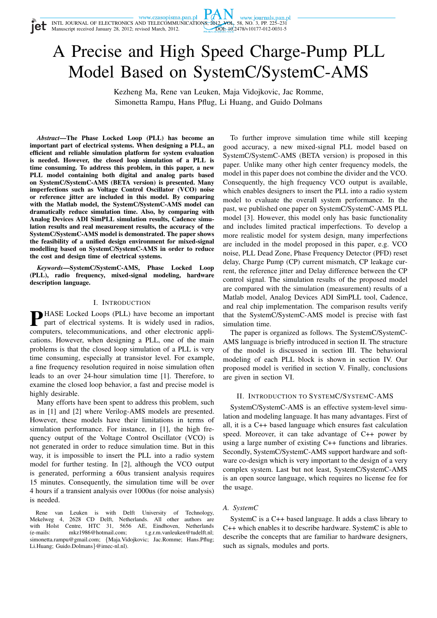Manuscript received January 28, 2012; revised March, 2012.

**Tet** 



# A Precise and High Speed Charge-Pump PLL Model Based on SystemC/SystemC-AMS

Kezheng Ma, Rene van Leuken, Maja Vidojkovic, Jac Romme, Simonetta Rampu, Hans Pflug, Li Huang, and Guido Dolmans

*Abstract***—The Phase Locked Loop (PLL) has become an important part of electrical systems. When designing a PLL, an efficient and reliable simulation platform for system evaluation is needed. However, the closed loop simulation of a PLL is time consuming. To address this problem, in this paper, a new PLL model containing both digital and analog parts based on SystemC/SystemC-AMS (BETA version) is presented. Many imperfections such as Voltage Control Oscillator (VCO) noise or reference jitter are included in this model. By comparing with the Matlab model, the SystemC/SystemC-AMS model can dramatically reduce simulation time. Also, by comparing with Analog Devices ADI SimPLL simulation results, Cadence simulation results and real measurement results, the accuracy of the SystemC/SystemC-AMS model is demonstrated. The paper shows the feasibility of a unified design environment for mixed-signal modelling based on SystemC/SystemC-AMS in order to reduce the cost and design time of electrical systems.**

*Keywords***—SystemC/SystemC-AMS, Phase Locked Loop (PLL), radio frequency, mixed-signal modeling, hardware description language.**

## I. INTRODUCTION

**P**HASE Locked Loops (PLL) have become an important part of electrical systems. It is widely used in radios, part of electrical systems. It is widely used in radios, computers, telecommunications, and other electronic applications. However, when designing a PLL, one of the main problems is that the closed loop simulation of a PLL is very time consuming, especially at transistor level. For example, a fine frequency resolution required in noise simulation often leads to an over 24-hour simulation time [1]. Therefore, to examine the closed loop behavior, a fast and precise model is highly desirable.

Many efforts have been spent to address this problem, such as in [1] and [2] where Verilog-AMS models are presented. However, these models have their limitations in terms of simulation performance. For instance, in [1], the high frequency output of the Voltage Control Oscillator (VCO) is not generated in order to reduce simulation time. But in this way, it is impossible to insert the PLL into a radio system model for further testing. In [2], although the VCO output is generated, performing a 60us transient analysis requires 15 minutes. Consequently, the simulation time will be over 4 hours if a transient analysis over 1000us (for noise analysis) is needed.

Rene van Leuken is with Delft University of Technology, ekelweg 4. 2628 CD Delft. Netherlands. All other authors are Mekelweg 4, 2628 CD Delft, Netherlands. All other authors are with Holst Centre, HTC 31, 5656 AE, Eindhoven, Netherlands (e-mails: mkz1986@hotmail.com; t.g.r.m.vanleuken@tudelft.nl; (e-mails: mkz1986@hotmail.com; t.g.r.m.vanleuken@tudelft.nl; simonetta.rampu@gmail.com; {Maja.Vidojkovic; Jac.Romme; Hans.Pflug; Li.Huang; Guido.Dolmans}@imec-nl.nl).

To further improve simulation time while still keeping good accuracy, a new mixed-signal PLL model based on SystemC/SystemC-AMS (BETA version) is proposed in this paper. Unlike many other high center frequency models, the model in this paper does not combine the divider and the VCO. Consequently, the high frequency VCO output is available, which enables designers to insert the PLL into a radio system model to evaluate the overall system performance. In the past, we published one paper on SystemC/SystemC-AMS PLL model [3]. However, this model only has basic functionality and includes limited practical imperfections. To develop a more realistic model for system design, many imperfections are included in the model proposed in this paper, e.g. VCO noise, PLL Dead Zone, Phase Frequency Detector (PFD) reset delay, Charge Pump (CP) current mismatch, CP leakage current, the reference jitter and Delay difference between the CP control signal. The simulation results of the proposed model are compared with the simulation (measurement) results of a Matlab model, Analog Devices ADI SimPLL tool, Cadence, and real chip implementation. The comparison results verify that the SystemC/SystemC-AMS model is precise with fast simulation time.

The paper is organized as follows. The SystemC/SystemC-AMS language is briefly introduced in section II. The structure of the model is discussed in section III. The behavioral modeling of each PLL block is shown in section IV. Our proposed model is verified in section V. Finally, conclusions are given in section VI.

## II. INTRODUCTION TO SYSTEMC/SYSTEMC-AMS

SystemC/SystemC-AMS is an effective system-level simulation and modeling language. It has many advantages. First of all, it is a C++ based language which ensures fast calculation speed. Moreover, it can take advantage of C++ power by using a large number of existing C++ functions and libraries. Secondly, SystemC/SystemC-AMS support hardware and software co-design which is very important to the design of a very complex system. Last but not least, SystemC/SystemC-AMS is an open source language, which requires no license fee for the usage.

## *A. SystemC*

SystemC is a C++ based language. It adds a class library to C++ which enables it to describe hardware. SystemC is able to describe the concepts that are familiar to hardware designers, such as signals, modules and ports.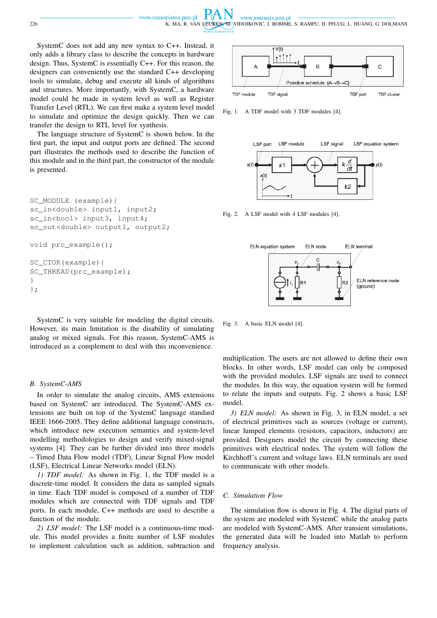www.czasopisma.pan.pl www.journals.pan.pl 226 K. MA, R. VAN LEUKEN, M. VIDOJKOVIC, J. ROMME, S. RAMPU, H. PFLUG, L. HUANG, G. DOLMANS

SystemC does not add any new syntax to C++. Instead, it only adds a library class to describe the concepts in hardware design. Thus, SystemC is essentially C++. For this reason, the designers can conveniently use the standard C++ developing tools to simulate, debug and execute all kinds of algorithms and structures. More importantly, with SystemC, a hardware model could be made in system level as well as Register Transfer Level (RTL). We can first make a system level model to simulate and optimize the design quickly. Then we can transfer the design to RTL level for synthesis.

The language structure of SystemC is shown below. In the first part, the input and output ports are defined. The second part illustrates the methods used to describe the function of this module and in the third part, the constructor of the module is presented.

```
SC_MODULE (example){
sc_in<double> input1, input2;
sc_in<bool> input3, input4;
sc_out<double> output1, output2;
void prc_example();
SC_CTOR(example){
SC_THREAD(prc_example);
}
};
```
SystemC is very suitable for modeling the digital circuits. However, its main limitation is the disability of simulating analog or mixed signals. For this reason, SystemC-AMS is introduced as a complement to deal with this inconvenience.

#### *B. SystemC-AMS*

In order to simulate the analog circuits, AMS extensions based on SystemC are introduced. The SystemC-AMS extensions are built on top of the SystemC language standard IEEE 1666-2005. They define additional language constructs, which introduce new execution semantics and system-level modelling methodologies to design and verify mixed-signal systems [4]. They can be further divided into three models – Timed Data Flow model (TDF), Linear Signal Flow model (LSF), Electrical Linear Networks model (ELN).

*1) TDF model:* As shown in Fig. 1, the TDF model is a discrete-time model. It considers the data as sampled signals in time. Each TDF model is composed of a number of TDF modules which are connected with TDF signals and TDF ports. In each module, C++ methods are used to describe a function of the module.

*2) LSF model:* The LSF model is a continuous-time module. This model provides a finite number of LSF modules to implement calculation such as addition, subtraction and



Fig. 1. A TDF model with 3 TDF modules [4].



Fig. 2. A LSF model with 4 LSF modules [4].



Fig. 3. A basic ELN model [4].

multiplication. The users are not allowed to define their own blocks. In other words, LSF model can only be composed with the provided modules. LSF signals are used to connect the modules. In this way, the equation system will be formed to relate the inputs and outputs. Fig. 2 shows a basic LSF model.

*3) ELN model:* As shown in Fig. 3, in ELN model, a set of electrical primitives such as sources (voltage or current), linear lumped elements (resistors, capacitors, inductors) are provided. Designers model the circuit by connecting these primitives with electrical nodes. The system will follow the Kirchhoff's current and voltage laws. ELN terminals are used to communicate with other models.

#### *C. Simulation Flow*

The simulation flow is shown in Fig. 4. The digital parts of the system are modeled with SystemC while the analog parts are modeled with SystemC-AMS. After transient simulations, the generated data will be loaded into Matlab to perform frequency analysis.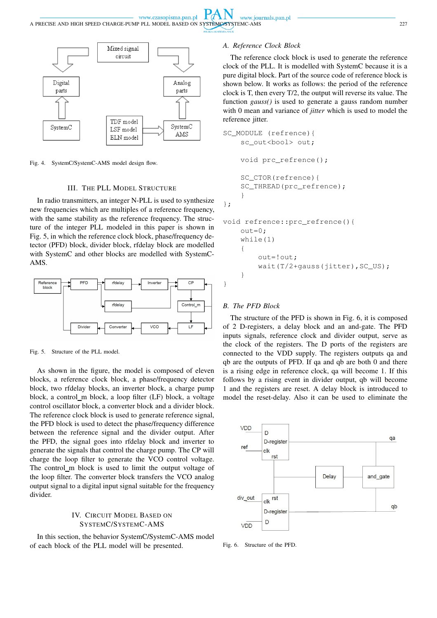

Fig. 4. SystemC/SystemC-AMS model design flow.

# III. THE PLL MODEL STRUCTURE

In radio transmitters, an integer N-PLL is used to synthesize new frequencies which are multiples of a reference frequency, with the same stability as the reference frequency. The structure of the integer PLL modeled in this paper is shown in Fig. 5, in which the reference clock block, phase/frequency detector (PFD) block, divider block, rfdelay block are modelled with SystemC and other blocks are modelled with SystemC-AMS.



Fig. 5. Structure of the PLL model.

As shown in the figure, the model is composed of eleven blocks, a reference clock block, a phase/frequency detector block, two rfdelay blocks, an inverter block, a charge pump block, a control\_m block, a loop filter (LF) block, a voltage control oscillator block, a converter block and a divider block. The reference clock block is used to generate reference signal, the PFD block is used to detect the phase/frequency difference between the reference signal and the divider output. After the PFD, the signal goes into rfdelay block and inverter to generate the signals that control the charge pump. The CP will charge the loop filter to generate the VCO control voltage. The control\_m block is used to limit the output voltage of the loop filter. The converter block transfers the VCO analog output signal to a digital input signal suitable for the frequency divider.

# IV. CIRCUIT MODEL BASED ON SYSTEMC/SYSTEMC-AMS

In this section, the behavior SystemC/SystemC-AMS model of each block of the PLL model will be presented.

# *A. Reference Clock Block*

The reference clock block is used to generate the reference clock of the PLL. It is modelled with SystemC because it is a pure digital block. Part of the source code of reference block is shown below. It works as follows: the period of the reference clock is T, then every T/2, the output will reverse its value. The function *gauss()* is used to generate a gauss random number with 0 mean and variance of *jitter* which is used to model the reference jitter.

```
SC_MODULE (refrence){
    sc_out<bool> out;
    void prc refrence();
    SC_CTOR(refrence){
    SC_THREAD(prc_refrence);
    }
};
void refrence::prc_refrence(){
    out=0;
    while(1)
    {
        out=!out;
        wait(T/2+gauss(jitter), SC_US);
```
#### *B. The PFD Block*

}

}

The structure of the PFD is shown in Fig. 6, it is composed of 2 D-registers, a delay block and an and-gate. The PFD inputs signals, reference clock and divider output, serve as the clock of the registers. The D ports of the registers are connected to the VDD supply. The registers outputs qa and qb are the outputs of PFD. If qa and qb are both 0 and there is a rising edge in reference clock, qa will become 1. If this follows by a rising event in divider output, qb will become 1 and the registers are reset. A delay block is introduced to model the reset-delay. Also it can be used to eliminate the



Fig. 6. Structure of the PFD.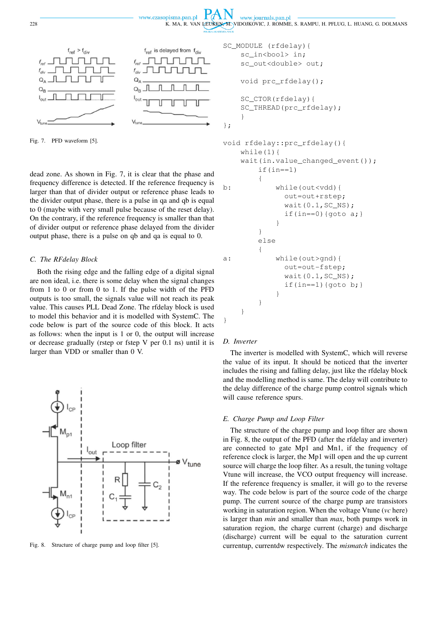



Fig. 7. PFD waveform [5].

dead zone. As shown in Fig. 7, it is clear that the phase and frequency difference is detected. If the reference frequency is larger than that of divider output or reference phase leads to the divider output phase, there is a pulse in qa and qb is equal to 0 (maybe with very small pulse because of the reset delay). On the contrary, if the reference frequency is smaller than that of divider output or reference phase delayed from the divider output phase, there is a pulse on qb and qa is equal to 0.

## *C. The RFdelay Block*

Both the rising edge and the falling edge of a digital signal are non ideal, i.e. there is some delay when the signal changes from 1 to 0 or from 0 to 1. If the pulse width of the PFD outputs is too small, the signals value will not reach its peak value. This causes PLL Dead Zone. The rfdelay block is used to model this behavior and it is modelled with SystemC. The code below is part of the source code of this block. It acts as follows: when the input is 1 or 0, the output will increase or decrease gradually (rstep or fstep V per 0.1 ns) until it is larger than VDD or smaller than 0 V.



Fig. 8. Structure of charge pump and loop filter [5].

```
SC_MODULE (rfdelay){
    sc_in<bool> in;
    sc_out<double> out;
    void prc_rfdelay();
    SC_CTOR(rfdelay){
    SC_THREAD(prc_rfdelay);
    }
};
void rfdelay::prc_rfdelay(){
    while(1){
    wait(in.value changed event());
        if(in==1){
b: while(out<vdd){
              out=out+rstep;
              wait(0.1, SC_N);
              if(in==0){goto a;}
            }
        }
        else
        {
a: while(out>gnd){
              out=out-fstep;
              wait(0.1,SC_NS);
```
#### *D. Inverter*

}

}

The inverter is modelled with SystemC, which will reverse the value of its input. It should be noticed that the inverter includes the rising and falling delay, just like the rfdelay block and the modelling method is same. The delay will contribute to the delay difference of the charge pump control signals which will cause reference spurs.

if(in==1){goto  $b$ ;}

#### *E. Charge Pump and Loop Filter*

}

}

The structure of the charge pump and loop filter are shown in Fig. 8, the output of the PFD (after the rfdelay and inverter) are connected to gate Mp1 and Mn1, if the frequency of reference clock is larger, the Mp1 will open and the up current source will charge the loop filter. As a result, the tuning voltage Vtune will increase, the VCO output frequency will increase. If the reference frequency is smaller, it will go to the reverse way. The code below is part of the source code of the charge pump. The current source of the charge pump are transistors working in saturation region. When the voltage Vtune (*vc* here) is larger than *min* and smaller than *max*, both pumps work in saturation region, the charge current (charge) and discharge (discharge) current will be equal to the saturation current currentup, currentdw respectively. The *mismatch* indicates the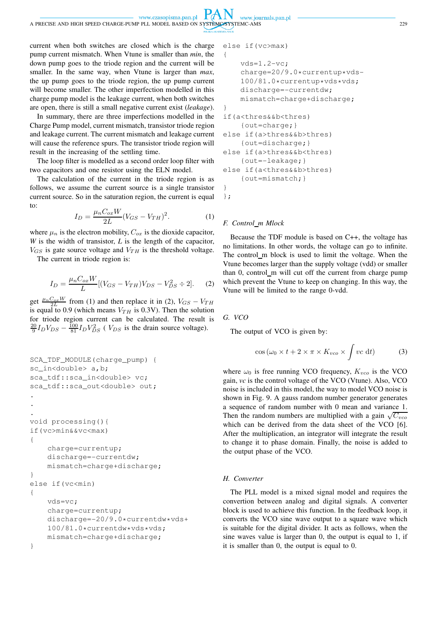current when both switches are closed which is the charge pump current mismatch. When Vtune is smaller than *min*, the down pump goes to the triode region and the current will be smaller. In the same way, when Vtune is larger than *max*, the up pump goes to the triode region, the up pump current will become smaller. The other imperfection modelled in this charge pump model is the leakage current, when both switches are open, there is still a small negative current exist (*leakage*).

www.czasopisma.pan.pl

In summary, there are three imperfections modelled in the Charge Pump model, current mismatch, transistor triode region and leakage current. The current mismatch and leakage current will cause the reference spurs. The transistor triode region will result in the increasing of the settling time.

The loop filter is modelled as a second order loop filter with two capacitors and one resistor using the ELN model.

The calculation of the current in the triode region is as follows, we assume the current source is a single transistor current source. So in the saturation region, the current is equal to:

$$
I_D = \frac{\mu_n C_{ox} W}{2L} (V_{GS} - V_{TH})^2.
$$
 (1)

where  $\mu_n$  is the electron mobility,  $C_{ox}$  is the dioxide capacitor, *W* is the width of transistor, *L* is the length of the capacitor,  $V_{GS}$  is gate source voltage and  $V_{TH}$  is the threshold voltage.

The current in triode region is:

$$
I_D = \frac{\mu_n C_{ox} W}{L} [(V_{GS} - V_{TH}) V_{DS} - V_{DS}^2 \div 2].
$$
 (2)

get  $\frac{\mu_n C_{ox} W}{2L}$  from (1) and then replace it in (2),  $V_{GS} - V_{TH}$ is equal to 0.9 (which means  $V_{TH}$  is 0.3V). Then the solution for triode region current can be calculated. The result is  $\frac{20}{9}I_DV_{DS} - \frac{100}{81}I_DV_{DS}^2$  (*V<sub>DS</sub>* is the drain source voltage).

```
SCA_TDF_MODULE(charge_pump) {
sc_in<double> a,b;
sca_tdf::sca_in<double> vc;
sca_tdf::sca_out<double> out;
.
.
.
void processing(){
if(vc>min&&vc<max)
{
    charge=currentup;
    discharge=-currentdw;
    mismatch=charge+discharge;
}
else if(vc<min)
{
    vds=vc;
    charge=currentup;
    discharge=-20/9.0*currentdw*vds+
    100/81.0*currentdw*vds*vds;
    mismatch=charge+discharge;
}
```

```
else if(vc>max)
```
www.journals.pan.pl

```
{
    vds=1.2-vc;charge=20/9.0*currentup*vds-
    100/81.0*currentup*vds*vds;
    discharge=-currentdw;
    mismatch=charge+discharge;
}
if(a<thres&&b<thres)
    {out=charge;}
else if(a>thres&&b>thres)
    {out=discharge;}
else if(a>thres&&b<thres)
    {out=-leakage;}
else if(a<thres&&b>thres)
    {out=mismatch;}
}
```
};

## *F. Control m Mlock*

Because the TDF module is based on C++, the voltage has no limitations. In other words, the voltage can go to infinite. The control m block is used to limit the voltage. When the Vtune becomes larger than the supply voltage (vdd) or smaller than 0, control\_m will cut off the current from charge pump which prevent the Vtune to keep on changing. In this way, the Vtune will be limited to the range 0-vdd.

*G. VCO*

The output of VCO is given by:

$$
\cos(\omega_0 \times t + 2 \times \pi \times K_{vco} \times \int vc \, dt) \tag{3}
$$

where  $\omega_0$  is free running VCO frequency,  $K_{vco}$  is the VCO gain, *vc* is the control voltage of the VCO (Vtune). Also, VCO noise is included in this model, the way to model VCO noise is shown in Fig. 9. A gauss random number generator generates a sequence of random number with 0 mean and variance 1. Then the random numbers are multiplied with a gain  $\sqrt{C_{vco}}$ which can be derived from the data sheet of the VCO [6]. After the multiplication, an integrator will integrate the result to change it to phase domain. Finally, the noise is added to the output phase of the VCO.

## *H. Converter*

The PLL model is a mixed signal model and requires the convertion between analog and digital signals. A converter block is used to achieve this function. In the feedback loop, it converts the VCO sine wave output to a square wave which is suitable for the digital divider. It acts as follows, when the sine waves value is larger than 0, the output is equal to 1, if it is smaller than 0, the output is equal to 0.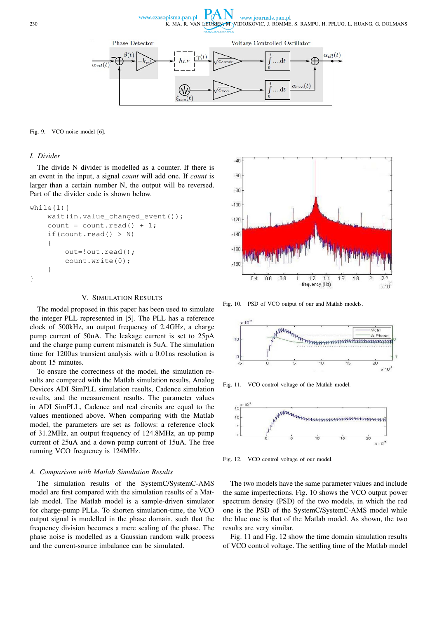www.czasopisma.pan.pl www.journals.pan.pl 230 K. MA, R. VAN LEUKEN, M. VIDOJKOVIC, J. ROMME, S. RAMPU, H. PFLUG, L. HUANG, G. DOLMANS



Fig. 9. VCO noise model [6].

## *I. Divider*

The divide N divider is modelled as a counter. If there is an event in the input, a signal *count* will add one. If *count* is larger than a certain number N, the output will be reversed. Part of the divider code is shown below.

```
while(1){
    wait(in.value_changed_event());
    count = count.read() + 1;if(count.read() > N)
    {
        out=!out.read();
        count.write(0);
    }
}
```
## V. SIMULATION RESULTS

The model proposed in this paper has been used to simulate the integer PLL represented in [5]. The PLL has a reference clock of 500kHz, an output frequency of 2.4GHz, a charge pump current of 50uA. The leakage current is set to 25pA and the charge pump current mismatch is 5uA. The simulation time for 1200us transient analysis with a 0.01ns resolution is about 15 minutes.

To ensure the correctness of the model, the simulation results are compared with the Matlab simulation results, Analog Devices ADI SimPLL simulation results, Cadence simulation results, and the measurement results. The parameter values in ADI SimPLL, Cadence and real circuits are equal to the values mentioned above. When comparing with the Matlab model, the parameters are set as follows: a reference clock of 31.2MHz, an output frequency of 124.8MHz, an up pump current of 25uA and a down pump current of 15uA. The free running VCO frequency is 124MHz.

#### *A. Comparison with Matlab Simulation Results*

The simulation results of the SystemC/SystemC-AMS model are first compared with the simulation results of a Matlab model. The Matlab model is a sample-driven simulator for charge-pump PLLs. To shorten simulation-time, the VCO output signal is modelled in the phase domain, such that the frequency division becomes a mere scaling of the phase. The phase noise is modelled as a Gaussian random walk process and the current-source imbalance can be simulated.



Fig. 10. PSD of VCO output of our and Matlab models.



Fig. 11. VCO control voltage of the Matlab model.



Fig. 12. VCO control voltage of our model.

The two models have the same parameter values and include the same imperfections. Fig. 10 shows the VCO output power spectrum density (PSD) of the two models, in which the red one is the PSD of the SystemC/SystemC-AMS model while the blue one is that of the Matlab model. As shown, the two results are very similar.

Fig. 11 and Fig. 12 show the time domain simulation results of VCO control voltage. The settling time of the Matlab model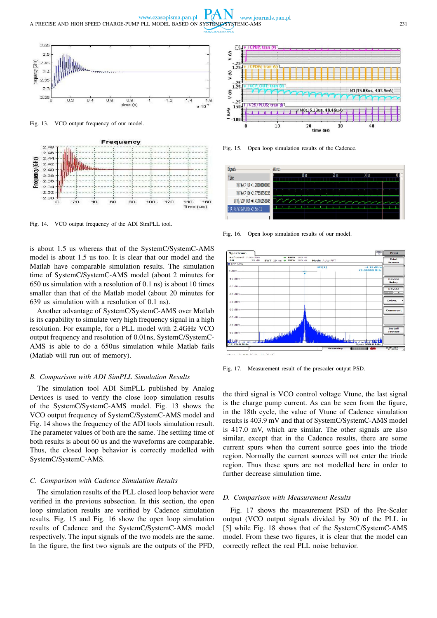www.czasopisma.pan.pl www.journals.pan.pl A PRECISE AND HIGH SPEED CHARGE-PUMP PLL MODEL BASED ON SYSTEMC/SYSTEMC-AMS 231



Fig. 13. VCO output frequency of our model.



Fig. 14. VCO output frequency of the ADI SimPLL tool.

is about 1.5 us whereas that of the SystemC/SystemC-AMS model is about 1.5 us too. It is clear that our model and the Matlab have comparable simulation results. The simulation time of SystemC/SystemC-AMS model (about 2 minutes for 650 us simulation with a resolution of 0.1 ns) is about 10 times smaller than that of the Matlab model (about 20 minutes for 639 us simulation with a resolution of 0.1 ns).

Another advantage of SystemC/SystemC-AMS over Matlab is its capability to simulate very high frequency signal in a high resolution. For example, for a PLL model with 2.4GHz VCO output frequency and resolution of 0.01ns, SystemC/SystemC-AMS is able to do a 650us simulation while Matlab fails (Matlab will run out of memory).

#### *B. Comparison with ADI SimPLL Simulation Results*

The simulation tool ADI SimPLL published by Analog Devices is used to verify the close loop simulation results of the SystemC/SystemC-AMS model. Fig. 13 shows the VCO output frequency of SystemC/SystemC-AMS model and Fig. 14 shows the frequency of the ADI tools simulation result. The parameter values of both are the same. The settling time of both results is about 60 us and the waveforms are comparable. Thus, the closed loop behavior is correctly modelled with SystemC/SystemC-AMS.

#### *C. Comparison with Cadence Simulation Results*

The simulation results of the PLL closed loop behavior were verified in the previous subsection. In this section, the open loop simulation results are verified by Cadence simulation results. Fig. 15 and Fig. 16 show the open loop simulation results of Cadence and the SystemC/SystemC-AMS model respectively. The input signals of the two models are the same. In the figure, the first two signals are the outputs of the PFD,



Fig. 15. Open loop simulation results of the Cadence.



Fig. 16. Open loop simulation results of our model.



Fig. 17. Measurement result of the prescaler output PSD.

the third signal is VCO control voltage Vtune, the last signal is the charge pump current. As can be seen from the figure, in the 18th cycle, the value of Vtune of Cadence simulation results is 403.9 mV and that of SystemC/SystemC-AMS model is 417.0 mV, which are similar. The other signals are also similar, except that in the Cadence results, there are some current spurs when the current source goes into the triode region. Normally the current sources will not enter the triode region. Thus these spurs are not modelled here in order to further decrease simulation time.

#### *D. Comparison with Measurement Results*

Fig. 17 shows the measurement PSD of the Pre-Scaler output (VCO output signals divided by 30) of the PLL in [5] while Fig. 18 shows that of the SystemC/SystemC-AMS model. From these two figures, it is clear that the model can correctly reflect the real PLL noise behavior.